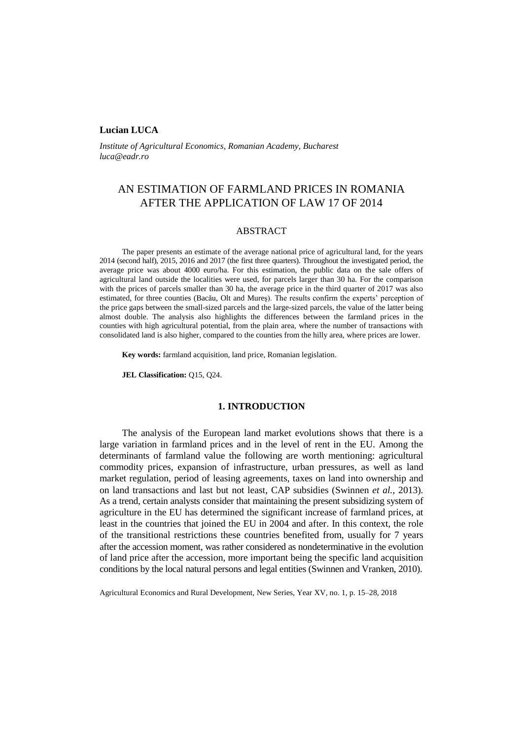## **Lucian LUCA**

*Institute of Agricultural Economics, Romanian Academy, Bucharest [luca@eadr.ro](mailto:luca@eadr.ro)*

# AN ESTIMATION OF FARMLAND PRICES IN ROMANIA AFTER THE APPLICATION OF LAW 17 OF 2014

## ABSTRACT

The paper presents an estimate of the average national price of agricultural land, for the years 2014 (second half), 2015, 2016 and 2017 (the first three quarters). Throughout the investigated period, the average price was about 4000 euro/ha. For this estimation, the public data on the sale offers of agricultural land outside the localities were used, for parcels larger than 30 ha. For the comparison with the prices of parcels smaller than 30 ha, the average price in the third quarter of 2017 was also estimated, for three counties (Bacău, Olt and Mureş). The results confirm the experts' perception of the price gaps between the small-sized parcels and the large-sized parcels, the value of the latter being almost double. The analysis also highlights the differences between the farmland prices in the counties with high agricultural potential, from the plain area, where the number of transactions with consolidated land is also higher, compared to the counties from the hilly area, where prices are lower.

**Key words:** farmland acquisition, land price, Romanian legislation.

**JEL Classification:** Q15, Q24.

#### **1. INTRODUCTION**

The analysis of the European land market evolutions shows that there is a large variation in farmland prices and in the level of rent in the EU. Among the determinants of farmland value the following are worth mentioning: agricultural commodity prices, expansion of infrastructure, urban pressures, as well as land market regulation, period of leasing agreements, taxes on land into ownership and on land transactions and last but not least, CAP subsidies (Swinnen *et al.*, 2013). As a trend, certain analysts consider that maintaining the present subsidizing system of agriculture in the EU has determined the significant increase of farmland prices, at least in the countries that joined the EU in 2004 and after. In this context, the role of the transitional restrictions these countries benefited from, usually for 7 years after the accession moment, was rather considered as nondeterminative in the evolution of land price after the accession, more important being the specific land acquisition conditions by the local natural persons and legal entities (Swinnen and Vranken, 2010).

Agricultural Economics and Rural Development, New Series, Year XV, no. 1, p. 15–28, 2018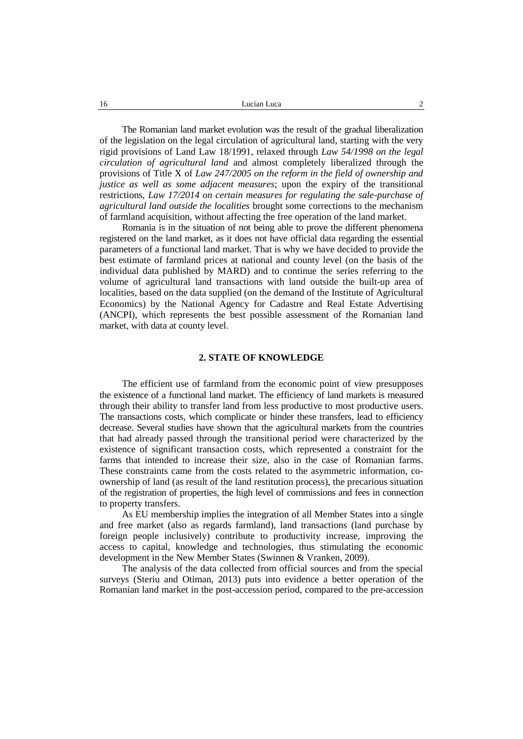The Romanian land market evolution was the result of the gradual liberalization of the legislation on the legal circulation of agricultural land, starting with the very rigid provisions of Land Law 18/1991, relaxed through *Law 54/1998 on the legal circulation of agricultural land* and almost completely liberalized through the provisions of Title X of *Law 247/2005 on the reform in the field of ownership and justice as well as some adjacent measures*; upon the expiry of the transitional restrictions, *Law 17/2014 on certain measures for regulating the sale-purchase of agricultural land outside the localities* brought some corrections to the mechanism of farmland acquisition, without affecting the free operation of the land market.

Romania is in the situation of not being able to prove the different phenomena registered on the land market, as it does not have official data regarding the essential parameters of a functional land market. That is why we have decided to provide the best estimate of farmland prices at national and county level (on the basis of the individual data published by MARD) and to continue the series referring to the volume of agricultural land transactions with land outside the built-up area of localities, based on the data supplied (on the demand of the Institute of Agricultural Economics) by the National Agency for Cadastre and Real Estate Advertising (ANCPI), which represents the best possible assessment of the Romanian land market, with data at county level.

#### **2. STATE OF KNOWLEDGE**

The efficient use of farmland from the economic point of view presupposes the existence of a functional land market. The efficiency of land markets is measured through their ability to transfer land from less productive to most productive users. The transactions costs, which complicate or hinder these transfers, lead to efficiency decrease. Several studies have shown that the agricultural markets from the countries that had already passed through the transitional period were characterized by the existence of significant transaction costs, which represented a constraint for the farms that intended to increase their size, also in the case of Romanian farms. These constraints came from the costs related to the asymmetric information, coownership of land (as result of the land restitution process), the precarious situation of the registration of properties, the high level of commissions and fees in connection to property transfers.

As EU membership implies the integration of all Member States into a single and free market (also as regards farmland), land transactions (land purchase by foreign people inclusively) contribute to productivity increase, improving the access to capital, knowledge and technologies, thus stimulating the economic development in the New Member States (Swinnen & Vranken, 2009).

The analysis of the data collected from official sources and from the special surveys (Steriu and Otiman, 2013) puts into evidence a better operation of the Romanian land market in the post-accession period, compared to the pre-accession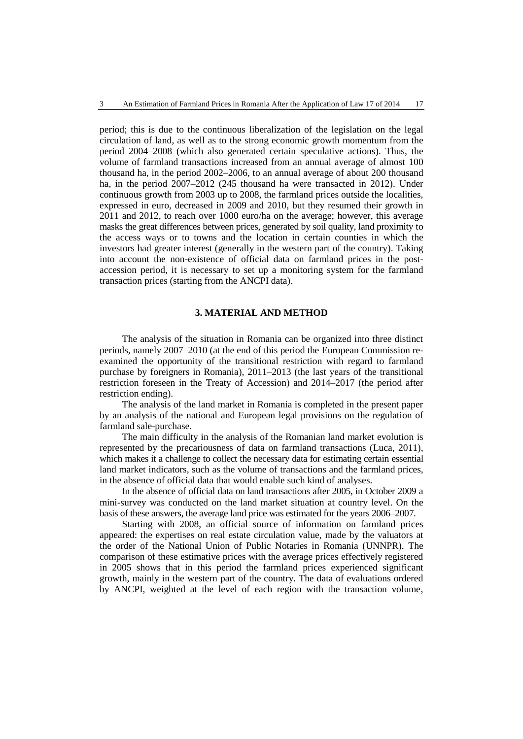period; this is due to the continuous liberalization of the legislation on the legal circulation of land, as well as to the strong economic growth momentum from the period 2004–2008 (which also generated certain speculative actions). Thus, the volume of farmland transactions increased from an annual average of almost 100 thousand ha, in the period 2002–2006, to an annual average of about 200 thousand ha, in the period 2007–2012 (245 thousand ha were transacted in 2012). Under continuous growth from 2003 up to 2008, the farmland prices outside the localities, expressed in euro, decreased in 2009 and 2010, but they resumed their growth in 2011 and 2012, to reach over 1000 euro/ha on the average; however, this average masks the great differences between prices, generated by soil quality, land proximity to the access ways or to towns and the location in certain counties in which the investors had greater interest (generally in the western part of the country). Taking into account the non-existence of official data on farmland prices in the postaccession period, it is necessary to set up a monitoring system for the farmland transaction prices (starting from the ANCPI data).

## **3. MATERIAL AND METHOD**

The analysis of the situation in Romania can be organized into three distinct periods, namely 2007–2010 (at the end of this period the European Commission reexamined the opportunity of the transitional restriction with regard to farmland purchase by foreigners in Romania), 2011–2013 (the last years of the transitional restriction foreseen in the Treaty of Accession) and 2014–2017 (the period after restriction ending).

The analysis of the land market in Romania is completed in the present paper by an analysis of the national and European legal provisions on the regulation of farmland sale-purchase.

The main difficulty in the analysis of the Romanian land market evolution is represented by the precariousness of data on farmland transactions (Luca, 2011), which makes it a challenge to collect the necessary data for estimating certain essential land market indicators, such as the volume of transactions and the farmland prices, in the absence of official data that would enable such kind of analyses.

In the absence of official data on land transactions after 2005, in October 2009 a mini-survey was conducted on the land market situation at country level. On the basis of these answers, the average land price was estimated for the years 2006–2007.

Starting with 2008, an official source of information on farmland prices appeared: the expertises on real estate circulation value, made by the valuators at the order of the National Union of Public Notaries in Romania (UNNPR). The comparison of these estimative prices with the average prices effectively registered in 2005 shows that in this period the farmland prices experienced significant growth, mainly in the western part of the country. The data of evaluations ordered by ANCPI, weighted at the level of each region with the transaction volume,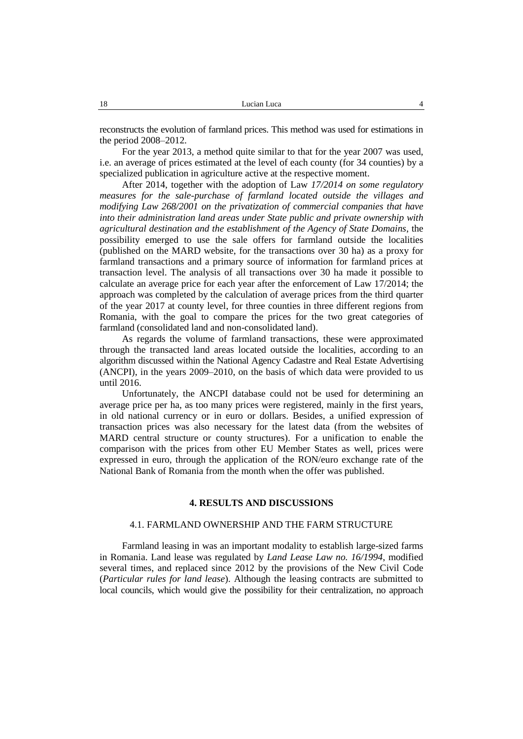reconstructs the evolution of farmland prices. This method was used for estimations in the period 2008–2012.

For the year 2013, a method quite similar to that for the year 2007 was used, i.e. an average of prices estimated at the level of each county (for 34 counties) by a specialized publication in agriculture active at the respective moment.

After 2014, together with the adoption of Law *17/2014 on some regulatory measures for the sale-purchase of farmland located outside the villages and modifying Law 268/2001 on the privatization of commercial companies that have into their administration land areas under State public and private ownership with agricultural destination and the establishment of the Agency of State Domains*, the possibility emerged to use the sale offers for farmland outside the localities (published on the MARD website, for the transactions over 30 ha) as a proxy for farmland transactions and a primary source of information for farmland prices at transaction level. The analysis of all transactions over 30 ha made it possible to calculate an average price for each year after the enforcement of Law 17/2014; the approach was completed by the calculation of average prices from the third quarter of the year 2017 at county level, for three counties in three different regions from Romania, with the goal to compare the prices for the two great categories of farmland (consolidated land and non-consolidated land).

As regards the volume of farmland transactions, these were approximated through the transacted land areas located outside the localities, according to an algorithm discussed within the National Agency Cadastre and Real Estate Advertising (ANCPI), in the years 2009–2010, on the basis of which data were provided to us until 2016.

Unfortunately, the ANCPI database could not be used for determining an average price per ha, as too many prices were registered, mainly in the first years, in old national currency or in euro or dollars. Besides, a unified expression of transaction prices was also necessary for the latest data (from the websites of MARD central structure or county structures). For a unification to enable the comparison with the prices from other EU Member States as well, prices were expressed in euro, through the application of the RON/euro exchange rate of the National Bank of Romania from the month when the offer was published.

## **4. RESULTS AND DISCUSSIONS**

#### 4.1. FARMLAND OWNERSHIP AND THE FARM STRUCTURE

Farmland leasing in was an important modality to establish large-sized farms in Romania. Land lease was regulated by *Land Lease Law no. 16/1994*, modified several times, and replaced since 2012 by the provisions of the New Civil Code (*Particular rules for land lease*). Although the leasing contracts are submitted to local councils, which would give the possibility for their centralization, no approach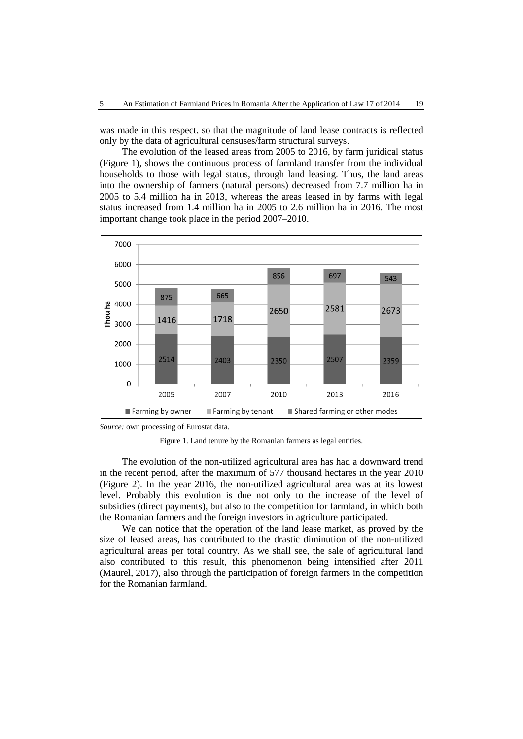was made in this respect, so that the magnitude of land lease contracts is reflected only by the data of agricultural censuses/farm structural surveys.

The evolution of the leased areas from 2005 to 2016, by farm juridical status (Figure 1), shows the continuous process of farmland transfer from the individual households to those with legal status, through land leasing. Thus, the land areas into the ownership of farmers (natural persons) decreased from 7.7 million ha in 2005 to 5.4 million ha in 2013, whereas the areas leased in by farms with legal status increased from 1.4 million ha in 2005 to 2.6 million ha in 2016. The most important change took place in the period 2007–2010.





Figure 1. Land tenure by the Romanian farmers as legal entities.

The evolution of the non-utilized agricultural area has had a downward trend in the recent period, after the maximum of 577 thousand hectares in the year 2010 (Figure 2). In the year 2016, the non-utilized agricultural area was at its lowest level. Probably this evolution is due not only to the increase of the level of subsidies (direct payments), but also to the competition for farmland, in which both the Romanian farmers and the foreign investors in agriculture participated.

We can notice that the operation of the land lease market, as proved by the size of leased areas, has contributed to the drastic diminution of the non-utilized agricultural areas per total country. As we shall see, the sale of agricultural land also contributed to this result, this phenomenon being intensified after 2011 (Maurel, 2017), also through the participation of foreign farmers in the competition for the Romanian farmland.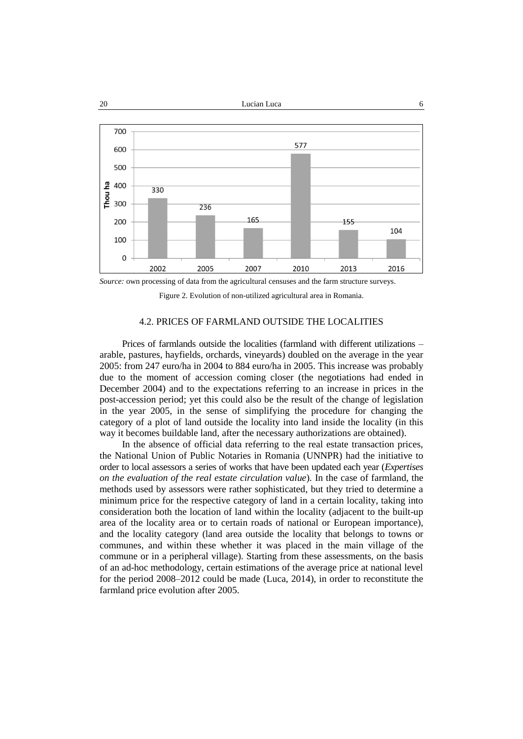

*Source:* own processing of data from the agricultural censuses and the farm structure surveys.

Figure 2. Evolution of non-utilized agricultural area in Romania.

## 4.2. PRICES OF FARMLAND OUTSIDE THE LOCALITIES

Prices of farmlands outside the localities (farmland with different utilizations – arable, pastures, hayfields, orchards, vineyards) doubled on the average in the year 2005: from 247 euro/ha in 2004 to 884 euro/ha in 2005. This increase was probably due to the moment of accession coming closer (the negotiations had ended in December 2004) and to the expectations referring to an increase in prices in the post-accession period; yet this could also be the result of the change of legislation in the year 2005, in the sense of simplifying the procedure for changing the category of a plot of land outside the locality into land inside the locality (in this way it becomes buildable land, after the necessary authorizations are obtained).

In the absence of official data referring to the real estate transaction prices, the National Union of Public Notaries in Romania (UNNPR) had the initiative to order to local assessors a series of works that have been updated each year (*Expertises on the evaluation of the real estate circulation value*). In the case of farmland, the methods used by assessors were rather sophisticated, but they tried to determine a minimum price for the respective category of land in a certain locality, taking into consideration both the location of land within the locality (adjacent to the built-up area of the locality area or to certain roads of national or European importance), and the locality category (land area outside the locality that belongs to towns or communes, and within these whether it was placed in the main village of the commune or in a peripheral village). Starting from these assessments, on the basis of an ad-hoc methodology, certain estimations of the average price at national level for the period 2008–2012 could be made (Luca, 2014), in order to reconstitute the farmland price evolution after 2005.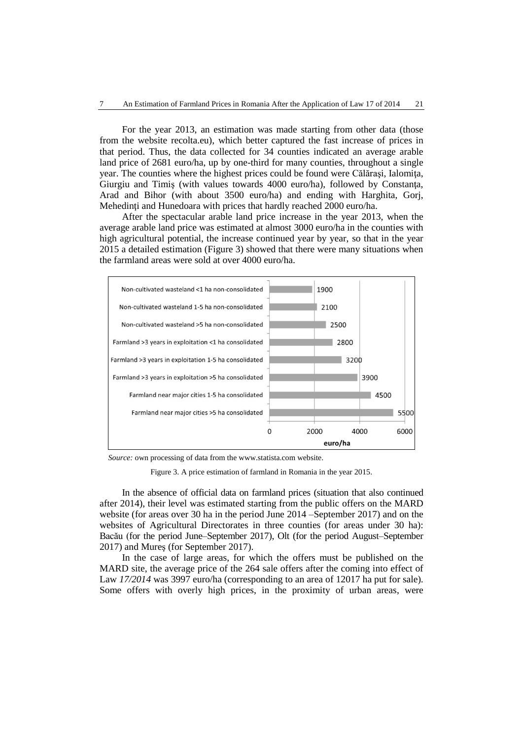For the year 2013, an estimation was made starting from other data (those from the website recolta.eu), which better captured the fast increase of prices in that period. Thus, the data collected for 34 counties indicated an average arable land price of 2681 euro/ha, up by one-third for many counties, throughout a single year. The counties where the highest prices could be found were Călăraşi, Ialomiţa, Giurgiu and Timis (with values towards 4000 euro/ha), followed by Constanta, Arad and Bihor (with about 3500 euro/ha) and ending with Harghita, Gorj, Mehedinţi and Hunedoara with prices that hardly reached 2000 euro/ha.

After the spectacular arable land price increase in the year 2013, when the average arable land price was estimated at almost 3000 euro/ha in the counties with high agricultural potential, the increase continued year by year, so that in the year 2015 a detailed estimation (Figure 3) showed that there were many situations when the farmland areas were sold at over 4000 euro/ha.



*Source:* own processing of data from the www.statista.com website.

Figure 3. A price estimation of farmland in Romania in the year 2015.

In the absence of official data on farmland prices (situation that also continued after 2014), their level was estimated starting from the public offers on the MARD website (for areas over 30 ha in the period June 2014 –September 2017) and on the websites of Agricultural Directorates in three counties (for areas under 30 ha): Bacău (for the period June–September 2017), Olt (for the period August–September 2017) and Mureş (for September 2017).

In the case of large areas, for which the offers must be published on the MARD site, the average price of the 264 sale offers after the coming into effect of Law 17/2014 was 3997 euro/ha (corresponding to an area of 12017 ha put for sale). Some offers with overly high prices, in the proximity of urban areas, were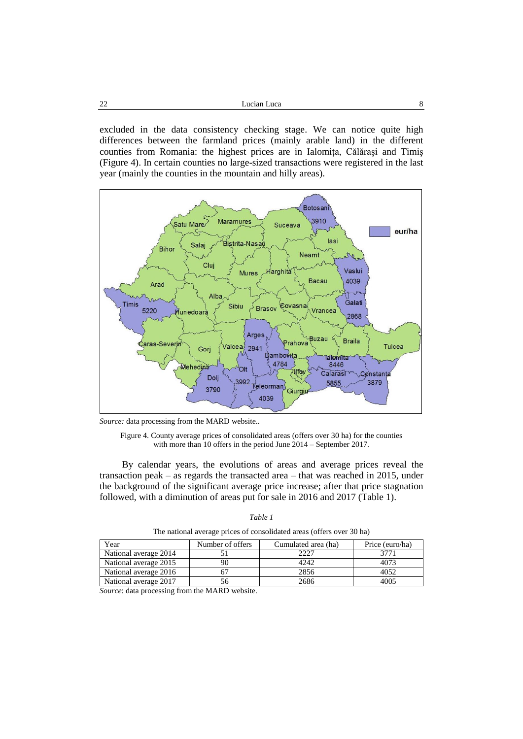excluded in the data consistency checking stage. We can notice quite high differences between the farmland prices (mainly arable land) in the different counties from Romania: the highest prices are in Ialomiţa, Călăraşi and Timiş (Figure 4). In certain counties no large-sized transactions were registered in the last year (mainly the counties in the mountain and hilly areas).



*Source:* data processing from the MARD website..

Figure 4. County average prices of consolidated areas (offers over 30 ha) for the counties with more than 10 offers in the period June 2014 – September 2017.

By calendar years, the evolutions of areas and average prices reveal the transaction peak – as regards the transacted area – that was reached in 2015, under the background of the significant average price increase; after that price stagnation followed, with a diminution of areas put for sale in 2016 and 2017 (Table 1).

| ,,,,<br>,, |  |
|------------|--|
|------------|--|

The national average prices of consolidated areas (offers over 30 ha)

| Year                  | Number of offers | Cumulated area (ha) | Price (euro/ha) |
|-----------------------|------------------|---------------------|-----------------|
| National average 2014 |                  | 2227                |                 |
| National average 2015 |                  | 4242                | 4073            |
| National average 2016 |                  | 2856                | 4052            |
| National average 2017 | .36.             | 2686                | 4005            |

*Source*: data processing from the MARD website.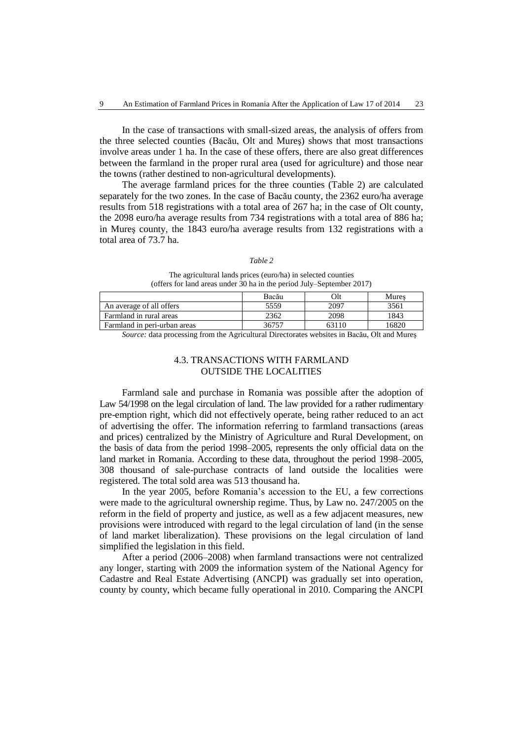In the case of transactions with small-sized areas, the analysis of offers from the three selected counties (Bacău, Olt and Mureş) shows that most transactions involve areas under 1 ha. In the case of these offers, there are also great differences between the farmland in the proper rural area (used for agriculture) and those near the towns (rather destined to non-agricultural developments).

The average farmland prices for the three counties (Table 2) are calculated separately for the two zones. In the case of Bacău county, the 2362 euro/ha average results from 518 registrations with a total area of 267 ha; in the case of Olt county, the 2098 euro/ha average results from 734 registrations with a total area of 886 ha; in Mureş county, the 1843 euro/ha average results from 132 registrations with a total area of 73.7 ha.

#### *Table 2*

The agricultural lands prices (euro/ha) in selected counties (offers for land areas under 30 ha in the period July–September 2017)

| An average of all offers     | 5559  | 2097                                                                                       | 3561                                            |
|------------------------------|-------|--------------------------------------------------------------------------------------------|-------------------------------------------------|
| Farmland in rural areas      | 2362  | 2098                                                                                       | 1843                                            |
| Farmland in peri-urban areas | 36757 | 63110                                                                                      | 16820                                           |
| ___                          |       | the property of the control of the control of the control of the control of the control of | the contract of the contract of the contract of |

*Source:* data processing from the Agricultural Directorates websites in Bacău, Olt and Mureş

Bacău Olt Mureş

## 4.3. TRANSACTIONS WITH FARMLAND OUTSIDE THE LOCALITIES

Farmland sale and purchase in Romania was possible after the adoption of Law 54/1998 on the legal circulation of land. The law provided for a rather rudimentary pre-emption right, which did not effectively operate, being rather reduced to an act of advertising the offer. The information referring to farmland transactions (areas and prices) centralized by the Ministry of Agriculture and Rural Development, on the basis of data from the period 1998–2005, represents the only official data on the land market in Romania. According to these data, throughout the period 1998–2005, 308 thousand of sale-purchase contracts of land outside the localities were registered. The total sold area was 513 thousand ha.

In the year 2005, before Romania's accession to the EU, a few corrections were made to the agricultural ownership regime. Thus, by Law no. 247/2005 on the reform in the field of property and justice, as well as a few adjacent measures, new provisions were introduced with regard to the legal circulation of land (in the sense of land market liberalization). These provisions on the legal circulation of land simplified the legislation in this field.

After a period (2006–2008) when farmland transactions were not centralized any longer, starting with 2009 the information system of the National Agency for Cadastre and Real Estate Advertising (ANCPI) was gradually set into operation, county by county, which became fully operational in 2010. Comparing the ANCPI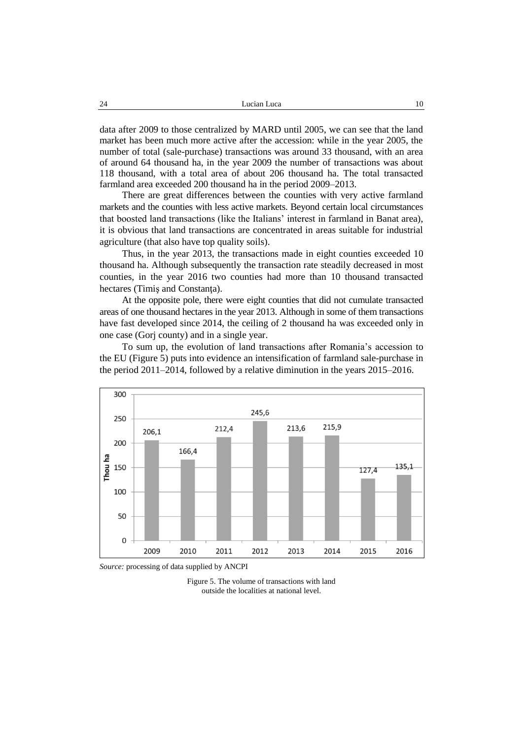data after 2009 to those centralized by MARD until 2005, we can see that the land market has been much more active after the accession: while in the year 2005, the number of total (sale-purchase) transactions was around 33 thousand, with an area of around 64 thousand ha, in the year 2009 the number of transactions was about 118 thousand, with a total area of about 206 thousand ha. The total transacted farmland area exceeded 200 thousand ha in the period 2009–2013.

There are great differences between the counties with very active farmland markets and the counties with less active markets. Beyond certain local circumstances that boosted land transactions (like the Italians' interest in farmland in Banat area), it is obvious that land transactions are concentrated in areas suitable for industrial agriculture (that also have top quality soils).

Thus, in the year 2013, the transactions made in eight counties exceeded 10 thousand ha. Although subsequently the transaction rate steadily decreased in most counties, in the year 2016 two counties had more than 10 thousand transacted hectares (Timiş and Constanţa).

At the opposite pole, there were eight counties that did not cumulate transacted areas of one thousand hectares in the year 2013. Although in some of them transactions have fast developed since 2014, the ceiling of 2 thousand ha was exceeded only in one case (Gorj county) and in a single year.

To sum up, the evolution of land transactions after Romania's accession to the EU (Figure 5) puts into evidence an intensification of farmland sale-purchase in the period 2011–2014, followed by a relative diminution in the years 2015–2016.



*Source:* processing of data supplied by ANCPI

Figure 5. The volume of transactions with land outside the localities at national level.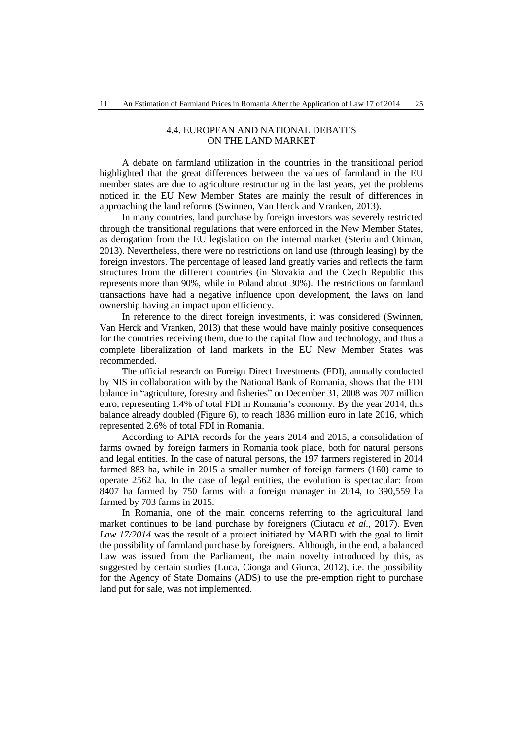## 4.4. EUROPEAN AND NATIONAL DEBATES ON THE LAND MARKET

A debate on farmland utilization in the countries in the transitional period highlighted that the great differences between the values of farmland in the EU member states are due to agriculture restructuring in the last years, yet the problems noticed in the EU New Member States are mainly the result of differences in approaching the land reforms (Swinnen, Van Herck and Vranken, 2013).

In many countries, land purchase by foreign investors was severely restricted through the transitional regulations that were enforced in the New Member States, as derogation from the EU legislation on the internal market (Steriu and Otiman, 2013). Nevertheless, there were no restrictions on land use (through leasing) by the foreign investors. The percentage of leased land greatly varies and reflects the farm structures from the different countries (in Slovakia and the Czech Republic this represents more than 90%, while in Poland about 30%). The restrictions on farmland transactions have had a negative influence upon development, the laws on land ownership having an impact upon efficiency.

In reference to the direct foreign investments, it was considered (Swinnen, Van Herck and Vranken, 2013) that these would have mainly positive consequences for the countries receiving them, due to the capital flow and technology, and thus a complete liberalization of land markets in the EU New Member States was recommended.

The official research on Foreign Direct Investments (FDI), annually conducted by NIS in collaboration with by the National Bank of Romania, shows that the FDI balance in "agriculture, forestry and fisheries" on December 31, 2008 was 707 million euro, representing 1.4% of total FDI in Romania's economy. By the year 2014, this balance already doubled (Figure 6), to reach 1836 million euro in late 2016, which represented 2.6% of total FDI in Romania.

According to APIA records for the years 2014 and 2015, a consolidation of farms owned by foreign farmers in Romania took place, both for natural persons and legal entities. In the case of natural persons, the 197 farmers registered in 2014 farmed 883 ha, while in 2015 a smaller number of foreign farmers (160) came to operate 2562 ha. In the case of legal entities, the evolution is spectacular: from 8407 ha farmed by 750 farms with a foreign manager in 2014, to 390,559 ha farmed by 703 farms in 2015.

In Romania, one of the main concerns referring to the agricultural land market continues to be land purchase by foreigners (Ciutacu *et al.*, 2017). Even *Law 17/2014* was the result of a project initiated by MARD with the goal to limit the possibility of farmland purchase by foreigners. Although, in the end, a balanced Law was issued from the Parliament, the main novelty introduced by this, as suggested by certain studies (Luca, Cionga and Giurca, 2012), i.e. the possibility for the Agency of State Domains (ADS) to use the pre-emption right to purchase land put for sale, was not implemented.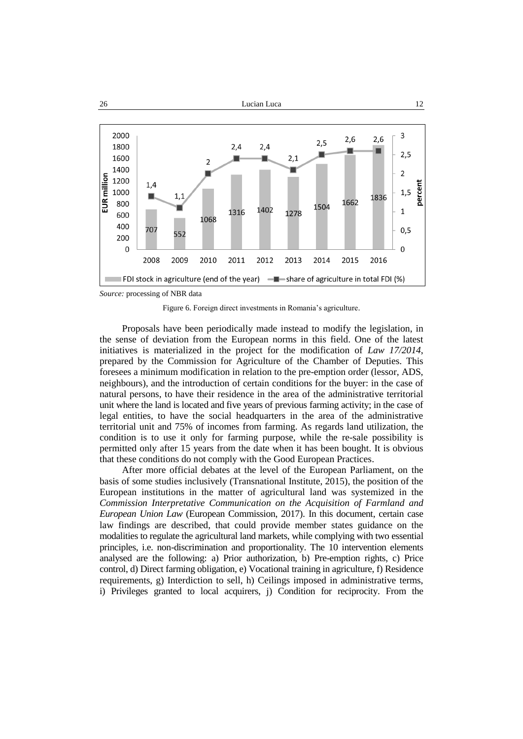

*Source:* processing of NBR data

Figure 6. Foreign direct investments in Romania's agriculture.

Proposals have been periodically made instead to modify the legislation, in the sense of deviation from the European norms in this field. One of the latest initiatives is materialized in the project for the modification of *Law 17/2014*, prepared by the Commission for Agriculture of the Chamber of Deputies. This foresees a minimum modification in relation to the pre-emption order (lessor, ADS, neighbours), and the introduction of certain conditions for the buyer: in the case of natural persons, to have their residence in the area of the administrative territorial unit where the land is located and five years of previous farming activity; in the case of legal entities, to have the social headquarters in the area of the administrative territorial unit and 75% of incomes from farming. As regards land utilization, the condition is to use it only for farming purpose, while the re-sale possibility is permitted only after 15 years from the date when it has been bought. It is obvious that these conditions do not comply with the Good European Practices.

After more official debates at the level of the European Parliament, on the basis of some studies inclusively (Transnational Institute, 2015), the position of the European institutions in the matter of agricultural land was systemized in the *Commission Interpretative Communication on the Acquisition of Farmland and European Union Law* (European Commission, 2017). In this document, certain case law findings are described, that could provide member states guidance on the modalities to regulate the agricultural land markets, while complying with two essential principles, i.e. non-discrimination and proportionality. The 10 intervention elements analysed are the following: a) Prior authorization, b) Pre-emption rights, c) Price control, d) Direct farming obligation, e) Vocational training in agriculture, f) Residence requirements, g) Interdiction to sell, h) Ceilings imposed in administrative terms, i) Privileges granted to local acquirers, j) Condition for reciprocity. From the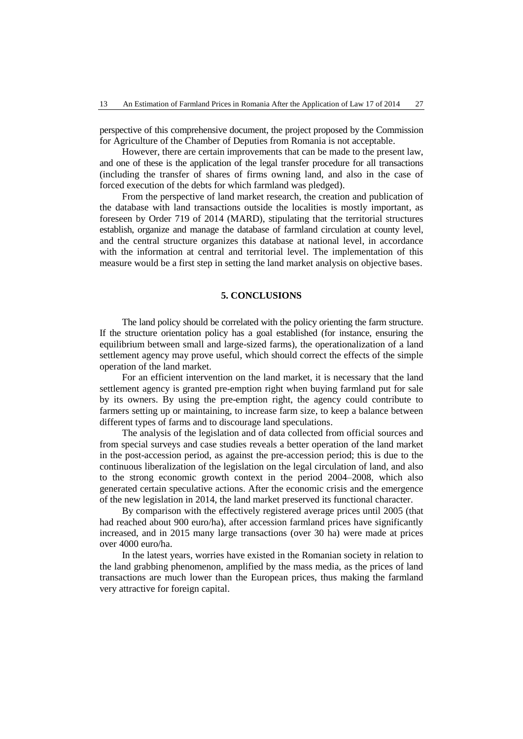perspective of this comprehensive document, the project proposed by the Commission for Agriculture of the Chamber of Deputies from Romania is not acceptable.

However, there are certain improvements that can be made to the present law, and one of these is the application of the legal transfer procedure for all transactions (including the transfer of shares of firms owning land, and also in the case of forced execution of the debts for which farmland was pledged).

From the perspective of land market research, the creation and publication of the database with land transactions outside the localities is mostly important, as foreseen by Order 719 of 2014 (MARD), stipulating that the territorial structures establish, organize and manage the database of farmland circulation at county level, and the central structure organizes this database at national level, in accordance with the information at central and territorial level. The implementation of this measure would be a first step in setting the land market analysis on objective bases.

## **5. CONCLUSIONS**

The land policy should be correlated with the policy orienting the farm structure. If the structure orientation policy has a goal established (for instance, ensuring the equilibrium between small and large-sized farms), the operationalization of a land settlement agency may prove useful, which should correct the effects of the simple operation of the land market.

For an efficient intervention on the land market, it is necessary that the land settlement agency is granted pre-emption right when buying farmland put for sale by its owners. By using the pre-emption right, the agency could contribute to farmers setting up or maintaining, to increase farm size, to keep a balance between different types of farms and to discourage land speculations.

The analysis of the legislation and of data collected from official sources and from special surveys and case studies reveals a better operation of the land market in the post-accession period, as against the pre-accession period; this is due to the continuous liberalization of the legislation on the legal circulation of land, and also to the strong economic growth context in the period 2004–2008, which also generated certain speculative actions. After the economic crisis and the emergence of the new legislation in 2014, the land market preserved its functional character.

By comparison with the effectively registered average prices until 2005 (that had reached about 900 euro/ha), after accession farmland prices have significantly increased, and in 2015 many large transactions (over 30 ha) were made at prices over 4000 euro/ha.

In the latest years, worries have existed in the Romanian society in relation to the land grabbing phenomenon, amplified by the mass media, as the prices of land transactions are much lower than the European prices, thus making the farmland very attractive for foreign capital.